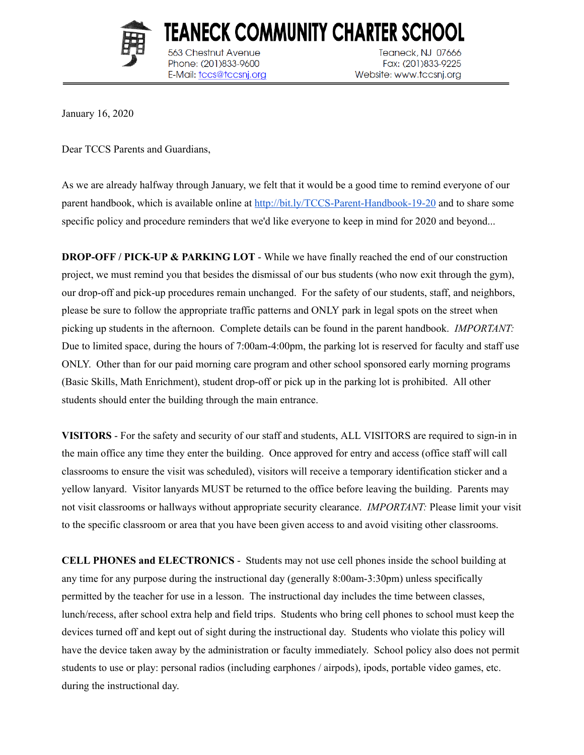

TEANECK COMMUNITY CHARTER SCHOOI 563 Chestnut Avenue Phone: (201)833-9600 E-Mail: tccs@tccsnj.org

Teaneck, NJ 07666 Fax: (201)833-9225 Website: www.tccsnj.org

January 16, 2020

Dear TCCS Parents and Guardians,

As we are already halfway through January, we felt that it would be a good time to remind everyone of our parent handbook, which is available online at <http://bit.ly/TCCS-Parent-Handbook-19-20> and to share some specific policy and procedure reminders that we'd like everyone to keep in mind for 2020 and beyond...

**DROP-OFF / PICK-UP & PARKING LOT** - While we have finally reached the end of our construction project, we must remind you that besides the dismissal of our bus students (who now exit through the gym), our drop-off and pick-up procedures remain unchanged. For the safety of our students, staff, and neighbors, please be sure to follow the appropriate traffic patterns and ONLY park in legal spots on the street when picking up students in the afternoon. Complete details can be found in the parent handbook. *IMPORTANT:* Due to limited space, during the hours of 7:00am-4:00pm, the parking lot is reserved for faculty and staff use ONLY. Other than for our paid morning care program and other school sponsored early morning programs (Basic Skills, Math Enrichment), student drop-off or pick up in the parking lot is prohibited. All other students should enter the building through the main entrance.

**VISITORS** - For the safety and security of our staff and students, ALL VISITORS are required to sign-in in the main office any time they enter the building. Once approved for entry and access (office staff will call classrooms to ensure the visit was scheduled), visitors will receive a temporary identification sticker and a yellow lanyard. Visitor lanyards MUST be returned to the office before leaving the building. Parents may not visit classrooms or hallways without appropriate security clearance. *IMPORTANT:* Please limit your visit to the specific classroom or area that you have been given access to and avoid visiting other classrooms.

**CELL PHONES and ELECTRONICS** - Students may not use cell phones inside the school building at any time for any purpose during the instructional day (generally 8:00am-3:30pm) unless specifically permitted by the teacher for use in a lesson. The instructional day includes the time between classes, lunch/recess, after school extra help and field trips. Students who bring cell phones to school must keep the devices turned off and kept out of sight during the instructional day. Students who violate this policy will have the device taken away by the administration or faculty immediately. School policy also does not permit students to use or play: personal radios (including earphones / airpods), ipods, portable video games, etc. during the instructional day.